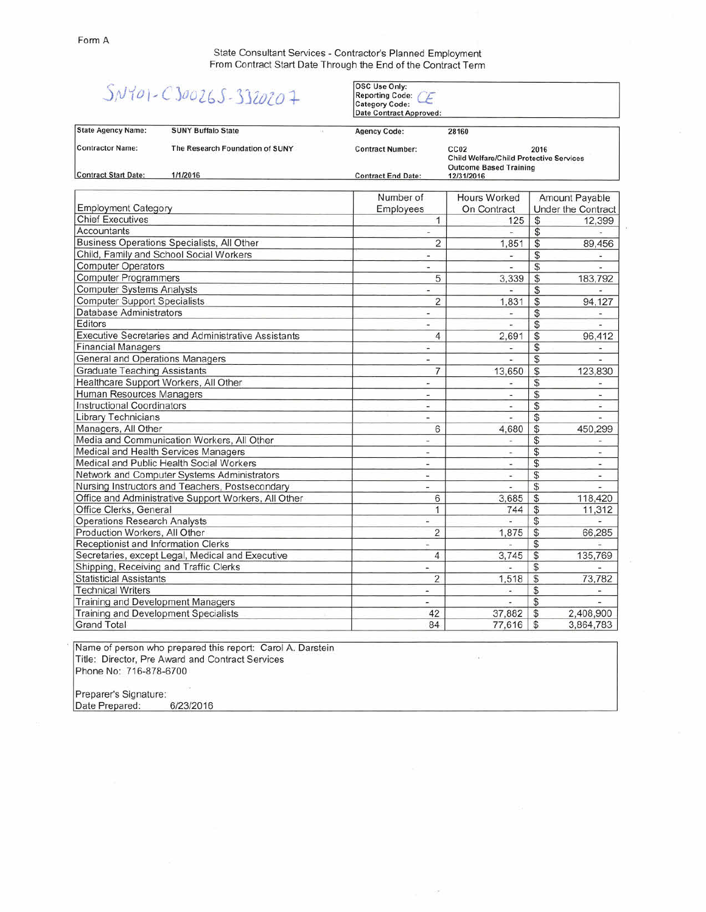State Consultant Services - Contractor's Planned Employment From Contract Start Date Through the End of the Contract Term

## $SNY01 - C300265 - 3320207$

OSC Use Only:<br>Reporting Code: *CE*<br>Category Code: Date Contract Approved:

| <b>State Agency Name:</b>                  | <b>SUNY Buffalo State</b>       | <b>Agency Code:</b>       | 28160                                                                                                       |    |                                             |
|--------------------------------------------|---------------------------------|---------------------------|-------------------------------------------------------------------------------------------------------------|----|---------------------------------------------|
| <b>Contractor Name:</b>                    | The Research Foundation of SUNY | <b>Contract Number:</b>   | CC <sub>02</sub><br>2016<br><b>Child Welfare/Child Protective Services</b><br><b>Outcome Based Training</b> |    |                                             |
| <b>Contract Start Date:</b>                | 1/1/2016                        | <b>Contract End Date:</b> | 12/31/2016                                                                                                  |    |                                             |
| <b>Employment Category</b>                 |                                 | Number of<br>Employees    | Hours Worked<br>On Contract                                                                                 |    | <b>Amount Payable</b><br>Under the Contract |
| <b>Chief Executives</b>                    |                                 |                           | 125                                                                                                         |    | 12,399                                      |
| Accountants                                |                                 |                           | r.                                                                                                          |    |                                             |
| Business Operations Specialists, All Other |                                 | 2                         | 1.851                                                                                                       | S  | 89,456                                      |
| Child, Family and School Social Workers    |                                 | $\blacksquare$            | ÷                                                                                                           | S  |                                             |
| <b>Computer Operators</b>                  |                                 | ۰                         | ۰                                                                                                           |    |                                             |
| <b>Computer Programmers</b>                |                                 | 5                         | 3,339                                                                                                       | \$ | 183,792                                     |
| <b>Computer Systems Analysts</b>           |                                 | ۰                         | Ξ                                                                                                           |    |                                             |
| <b>Computer Support Specialists</b>        |                                 | 2                         | 1.831                                                                                                       |    | 94.127                                      |

| Computer ovsterns Analysis                                 | ۰                                                                                                                                                                                                                                                                                                                                                                                                                                                                          |                          | Ф              |               |
|------------------------------------------------------------|----------------------------------------------------------------------------------------------------------------------------------------------------------------------------------------------------------------------------------------------------------------------------------------------------------------------------------------------------------------------------------------------------------------------------------------------------------------------------|--------------------------|----------------|---------------|
| <b>Computer Support Specialists</b>                        | $\overline{2}$                                                                                                                                                                                                                                                                                                                                                                                                                                                             | 1.831                    | $\mathcal{S}$  | 94,127        |
| Database Administrators                                    | ٠                                                                                                                                                                                                                                                                                                                                                                                                                                                                          |                          | \$             |               |
| Editors                                                    | ۰                                                                                                                                                                                                                                                                                                                                                                                                                                                                          |                          | \$             |               |
| <b>Executive Secretaries and Administrative Assistants</b> | 4                                                                                                                                                                                                                                                                                                                                                                                                                                                                          | 2,691                    | \$             | 96,412        |
| <b>Financial Managers</b>                                  | ÷                                                                                                                                                                                                                                                                                                                                                                                                                                                                          |                          | \$             |               |
| General and Operations Managers                            | $\blacksquare$                                                                                                                                                                                                                                                                                                                                                                                                                                                             | $\sim$                   | \$             |               |
| <b>Graduate Teaching Assistants</b>                        | 7                                                                                                                                                                                                                                                                                                                                                                                                                                                                          | 13,650                   | \$             | 123,830       |
| Healthcare Support Workers, All Other                      | ÷.                                                                                                                                                                                                                                                                                                                                                                                                                                                                         |                          | \$             |               |
| Human Resources Managers                                   | ×,                                                                                                                                                                                                                                                                                                                                                                                                                                                                         | ÷                        | \$             |               |
| <b>Instructional Coordinators</b>                          | $\overline{\phantom{0}}$                                                                                                                                                                                                                                                                                                                                                                                                                                                   | ۰                        | \$             |               |
| <b>Library Technicians</b>                                 | $\overline{\phantom{a}}$                                                                                                                                                                                                                                                                                                                                                                                                                                                   |                          | \$             |               |
| Managers, All Other                                        | 6                                                                                                                                                                                                                                                                                                                                                                                                                                                                          | 4,680                    | \$             | 450,299       |
| Media and Communication Workers, All Other                 | $\frac{1}{2}$                                                                                                                                                                                                                                                                                                                                                                                                                                                              |                          | \$             |               |
| Medical and Health Services Managers                       |                                                                                                                                                                                                                                                                                                                                                                                                                                                                            | ×.                       | \$             |               |
| Medical and Public Health Social Workers                   | ٠                                                                                                                                                                                                                                                                                                                                                                                                                                                                          | $\overline{\phantom{a}}$ | \$             | $\frac{1}{2}$ |
| Network and Computer Systems Administrators                | $\blacksquare$                                                                                                                                                                                                                                                                                                                                                                                                                                                             | Ŵ.                       | \$             |               |
| Nursing Instructors and Teachers, Postsecondary            | $\sim$                                                                                                                                                                                                                                                                                                                                                                                                                                                                     | ۰                        | \$             |               |
| Office and Administrative Support Workers, All Other       | 6                                                                                                                                                                                                                                                                                                                                                                                                                                                                          | 3,685                    | $\mathcal{S}$  | 118,420       |
| Office Clerks, General                                     | 1                                                                                                                                                                                                                                                                                                                                                                                                                                                                          | 744                      | \$             | 11,312        |
| <b>Operations Research Analysts</b>                        | ×                                                                                                                                                                                                                                                                                                                                                                                                                                                                          | 当                        | \$             |               |
| Production Workers, All Other                              | $\overline{2}$                                                                                                                                                                                                                                                                                                                                                                                                                                                             | 1,875                    | \$             | 66,285        |
| Receptionist and Information Clerks                        | ۰                                                                                                                                                                                                                                                                                                                                                                                                                                                                          |                          | S              |               |
| Secretaries, except Legal, Medical and Executive           | 4                                                                                                                                                                                                                                                                                                                                                                                                                                                                          | 3,745                    | \$             | 135,769       |
| Shipping, Receiving and Traffic Clerks                     |                                                                                                                                                                                                                                                                                                                                                                                                                                                                            |                          | \$             |               |
| <b>Statisticial Assistants</b>                             | 2                                                                                                                                                                                                                                                                                                                                                                                                                                                                          | 1,518                    | $\mathcal{S}$  | 73,782        |
| <b>Technical Writers</b>                                   | $\frac{1}{2} \left( \frac{1}{2} \right) \left( \frac{1}{2} \right) \left( \frac{1}{2} \right) \left( \frac{1}{2} \right) \left( \frac{1}{2} \right) \left( \frac{1}{2} \right) \left( \frac{1}{2} \right) \left( \frac{1}{2} \right) \left( \frac{1}{2} \right) \left( \frac{1}{2} \right) \left( \frac{1}{2} \right) \left( \frac{1}{2} \right) \left( \frac{1}{2} \right) \left( \frac{1}{2} \right) \left( \frac{1}{2} \right) \left( \frac{1}{2} \right) \left( \frac$ | ٠                        | \$             |               |
| Training and Development Managers                          | ÷.                                                                                                                                                                                                                                                                                                                                                                                                                                                                         | ۰                        | \$             |               |
| Training and Development Specialists                       | 42                                                                                                                                                                                                                                                                                                                                                                                                                                                                         | 37,882                   | \$             | 2,408,900     |
| <b>Grand Total</b>                                         | 84                                                                                                                                                                                                                                                                                                                                                                                                                                                                         | 77,616                   | $\mathfrak{S}$ | 3,864,783     |

Name of person who prepared this report: Carol A. Darstein Title: Director, Pre Award and Contract Services Phone No: 716-878-6700

Preparer's Signature: Date Prepared: *6/23/2016*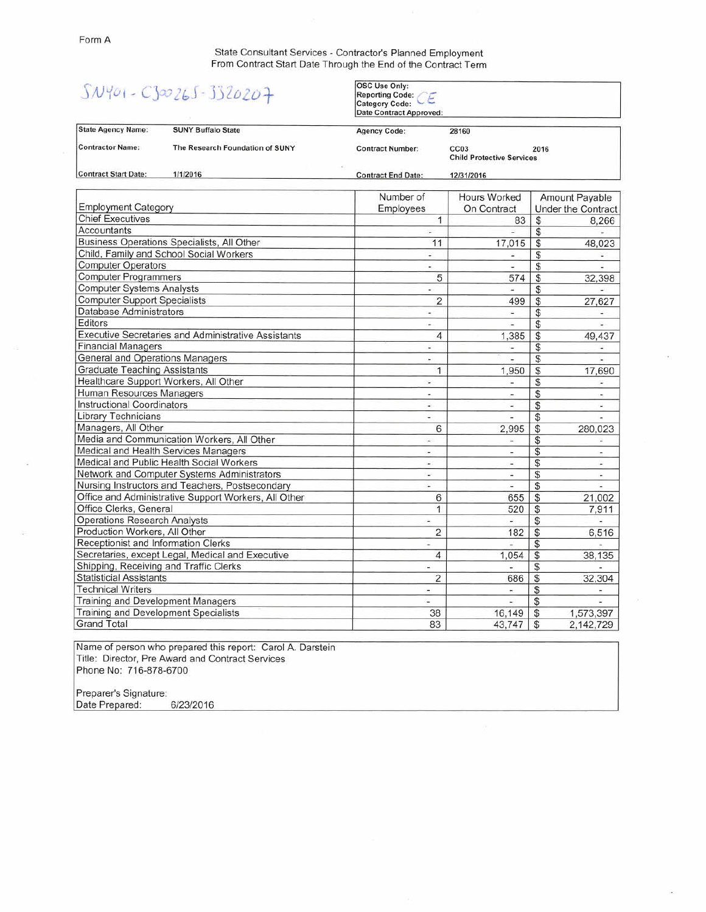State Consultant Services - Contractor's Planned Employment From Contract Start Date Through the End of the Contract Term

|                                                  | $SWY01 - C300265 - 3320207$                          | <b>OSC Use Only:</b><br>Reporting Code:<br><b>Category Code:</b><br><b>Date Contract Approved:</b> |                                                              |                                     |
|--------------------------------------------------|------------------------------------------------------|----------------------------------------------------------------------------------------------------|--------------------------------------------------------------|-------------------------------------|
| <b>State Agency Name:</b>                        | <b>SUNY Buffalo State</b>                            | <b>Agency Code:</b>                                                                                | 28160                                                        |                                     |
| <b>Contractor Name:</b>                          | The Research Foundation of SUNY                      | <b>Contract Number:</b>                                                                            | CC <sub>03</sub><br>2016<br><b>Child Protective Services</b> |                                     |
| <b>Contract Start Date:</b>                      | 1/1/2016                                             | <b>Contract End Date:</b>                                                                          | 12/31/2016                                                   |                                     |
|                                                  |                                                      | Number of                                                                                          | Hours Worked                                                 | Amount Payable                      |
| <b>Employment Category</b>                       |                                                      | Employees                                                                                          | On Contract                                                  | <b>Under the Contract</b>           |
| <b>Chief Executives</b>                          |                                                      | $\overline{1}$                                                                                     | 83                                                           | \$<br>8,266                         |
| <b>Accountants</b>                               |                                                      | $\sim$                                                                                             | ÷                                                            | \$<br>Ξ                             |
|                                                  | Business Operations Specialists, All Other           | 11                                                                                                 | 17,015                                                       | \$<br>48,023                        |
|                                                  | Child, Family and School Social Workers              | ۳                                                                                                  | s.                                                           | \$<br>¥                             |
| <b>Computer Operators</b>                        |                                                      | $\sim$                                                                                             | ÷.                                                           | \$<br>÷.                            |
| <b>Computer Programmers</b>                      |                                                      | 5                                                                                                  | 574                                                          | $\overline{\$}$<br>32,398           |
| <b>Computer Systems Analysts</b>                 |                                                      | ä,                                                                                                 | u.                                                           | \$                                  |
| <b>Computer Support Specialists</b>              |                                                      | $\overline{\mathbf{c}}$                                                                            | 499                                                          | \$<br>27,627                        |
| Database Administrators                          |                                                      | $\overline{\phantom{a}}$                                                                           | ÷.                                                           | \$<br>٠                             |
| Editors                                          |                                                      | ÷                                                                                                  | ×                                                            | \$<br>У.                            |
|                                                  | Executive Secretaries and Administrative Assistants  |                                                                                                    | 1.385                                                        | $\frac{1}{2}$<br>49,437             |
| <b>Financial Managers</b>                        |                                                      | ÷,                                                                                                 | ٠                                                            | \$<br>$\overline{\phantom{a}}$      |
| <b>General and Operations Managers</b>           |                                                      | $\overline{a}$                                                                                     | $\overline{a}$                                               | \$<br>÷.                            |
| <b>Graduate Teaching Assistants</b>              |                                                      | $\mathbf{1}$                                                                                       | 1.950                                                        | \$<br>17,690                        |
| Healthcare Support Workers, All Other            |                                                      | ÷.                                                                                                 | ù.                                                           | \$                                  |
| Human Resources Managers                         |                                                      | $\sim$                                                                                             | $\overline{a}$                                               | \$<br>$\tilde{\phantom{a}}$         |
| <b>Instructional Coordinators</b>                |                                                      | $\sim$                                                                                             | u,                                                           | \$                                  |
| <b>Library Technicians</b>                       |                                                      | $\rightarrow$ (                                                                                    | $\overline{\phantom{a}}$                                     | \$                                  |
| Managers, All Other                              |                                                      | 6                                                                                                  | 2.995                                                        | $\overline{\mathcal{L}}$<br>280,023 |
| Media and Communication Workers, All Other       |                                                      | $\rightarrow$                                                                                      | $\overline{\phantom{a}}$                                     | \$<br>$\omega$                      |
|                                                  | Medical and Health Services Managers                 | $\overline{\phantom{a}}$                                                                           | $\overline{a}$                                               | \$<br>۰                             |
|                                                  | Medical and Public Health Social Workers             | цÚ.                                                                                                | ¥                                                            | \$<br>u.                            |
|                                                  | Network and Computer Systems Administrators          | ×.                                                                                                 | $\sim$                                                       | \$<br>$\blacksquare$                |
|                                                  | Nursing Instructors and Teachers, Postsecondary      | u)                                                                                                 | E.                                                           | \$<br>÷.                            |
|                                                  | Office and Administrative Support Workers, All Other | 6                                                                                                  | 655                                                          | \$<br>21,002                        |
| Office Clerks, General                           |                                                      | $\mathbf{1}$                                                                                       | 520                                                          | $\mathbb{S}$<br>7.911               |
| <b>Operations Research Analysts</b>              |                                                      | $\blacksquare$                                                                                     | ö                                                            | \$                                  |
| Production Workers, All Other                    |                                                      | $\overline{2}$                                                                                     | 182                                                          | \$<br>6,516                         |
| Receptionist and Information Clerks              |                                                      | $\overline{\phantom{a}}$                                                                           | Ξ                                                            | \$<br>$\overline{\phantom{a}}$      |
| Secretaries, except Legal, Medical and Executive |                                                      | $\overline{4}$                                                                                     | 1.054                                                        | \$<br>38,135                        |
| Shipping, Receiving and Traffic Clerks           |                                                      | $\blacksquare$                                                                                     |                                                              | \$                                  |
| <b>Statisticial Assistants</b>                   |                                                      | $\overline{2}$                                                                                     | 686                                                          | $\sqrt{3}$<br>32,304                |
| <b>Technical Writers</b>                         |                                                      | $\overline{a}$                                                                                     | ÷.                                                           | S<br>$\overline{\phantom{a}}$       |
| Training and Development Managers                |                                                      | $\overline{\phantom{a}}$                                                                           | $\sim$                                                       | \$<br>÷                             |
| <b>Training and Development Specialists</b>      |                                                      | 38                                                                                                 | 16,149                                                       | S<br>1,573,397                      |
| <b>Grand Total</b>                               |                                                      | 83                                                                                                 | 43,747                                                       | \$<br>2,142,729                     |

Name of person who prepared this report: Carol A. Darstein Title: Director, Pre Award and Contract Services Phone No: 716-878-6700

Preparer's Signature:<br>Date Prepared: 6/23/2016 Date Prepared: